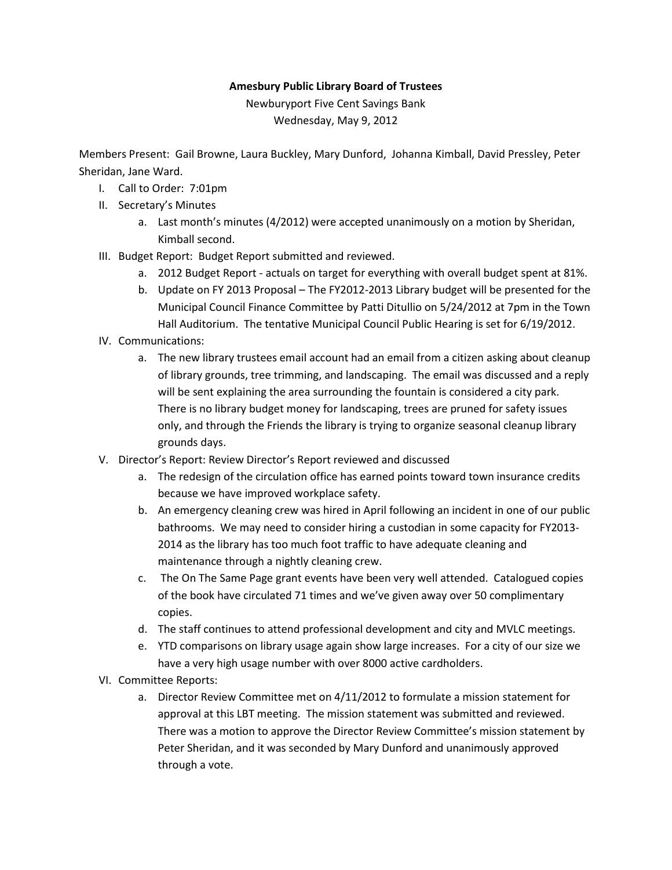## **Amesbury Public Library Board of Trustees**

Newburyport Five Cent Savings Bank Wednesday, May 9, 2012

Members Present: Gail Browne, Laura Buckley, Mary Dunford, Johanna Kimball, David Pressley, Peter Sheridan, Jane Ward.

- I. Call to Order: 7:01pm
- II. Secretary's Minutes
	- a. Last month's minutes (4/2012) were accepted unanimously on a motion by Sheridan, Kimball second.
- III. Budget Report: Budget Report submitted and reviewed.
	- a. 2012 Budget Report actuals on target for everything with overall budget spent at 81%.
	- b. Update on FY 2013 Proposal The FY2012-2013 Library budget will be presented for the Municipal Council Finance Committee by Patti Ditullio on 5/24/2012 at 7pm in the Town Hall Auditorium. The tentative Municipal Council Public Hearing is set for 6/19/2012.
- IV. Communications:
	- a. The new library trustees email account had an email from a citizen asking about cleanup of library grounds, tree trimming, and landscaping. The email was discussed and a reply will be sent explaining the area surrounding the fountain is considered a city park. There is no library budget money for landscaping, trees are pruned for safety issues only, and through the Friends the library is trying to organize seasonal cleanup library grounds days.
- V. Director's Report: Review Director's Report reviewed and discussed
	- a. The redesign of the circulation office has earned points toward town insurance credits because we have improved workplace safety.
	- b. An emergency cleaning crew was hired in April following an incident in one of our public bathrooms. We may need to consider hiring a custodian in some capacity for FY2013- 2014 as the library has too much foot traffic to have adequate cleaning and maintenance through a nightly cleaning crew.
	- c. The On The Same Page grant events have been very well attended. Catalogued copies of the book have circulated 71 times and we've given away over 50 complimentary copies.
	- d. The staff continues to attend professional development and city and MVLC meetings.
	- e. YTD comparisons on library usage again show large increases. For a city of our size we have a very high usage number with over 8000 active cardholders.
- VI. Committee Reports:
	- a. Director Review Committee met on 4/11/2012 to formulate a mission statement for approval at this LBT meeting. The mission statement was submitted and reviewed. There was a motion to approve the Director Review Committee's mission statement by Peter Sheridan, and it was seconded by Mary Dunford and unanimously approved through a vote.